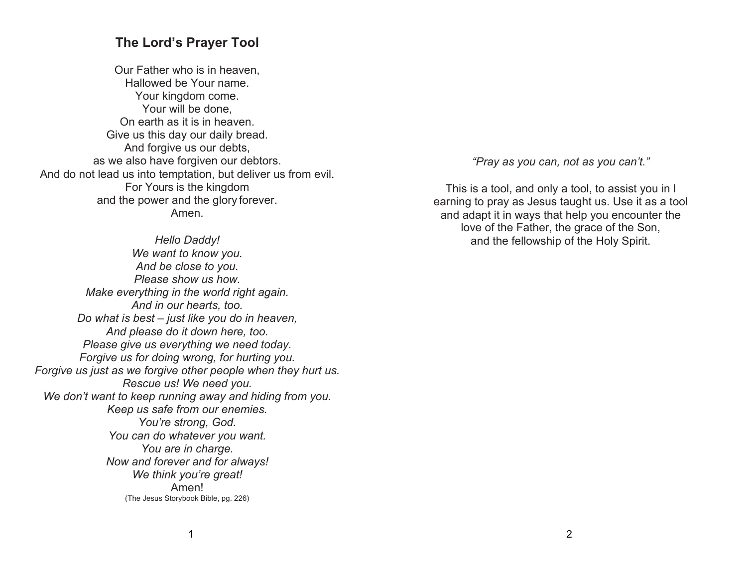## **The Lord's Prayer Tool**

Our Father who is in heaven, Hallowed be Your name. Your kingdom come. Your will be done, On earth as it is in heaven. Give us this day our daily bread. And forgive us our debts, as we also have forgiven our debtors. And do not lead us into temptation, but deliver us from evil. For Yours is the kingdom and the power and the glory forever. Amen.

*Hello Daddy! We want to know you. And be close to you. Please show us how. Make everything in the world right again. And in our hearts, too. Do what is best – just like you do in heaven, And please do it down here, too. Please give us everything we need today. Forgive us for doing wrong, for hurting you. Forgive us just as we forgive other people when they hurt us. Rescue us! We need you. We don't want to keep running away and hiding from you. Keep us safe from our enemies. You're strong, God. You can do whatever you want. You are in charge. Now and forever and for always! We think you're great!* Amen! (The Jesus Storybook Bible, pg. 226)

*"Pray as you can, not as you can't."*

This is a tool, and only a tool, to assist you in l earning to pray as Jesus taught us. Use it as a tool and adapt it in ways that help you encounter the love of the Father, the grace of the Son, and the fellowship of the Holy Spirit.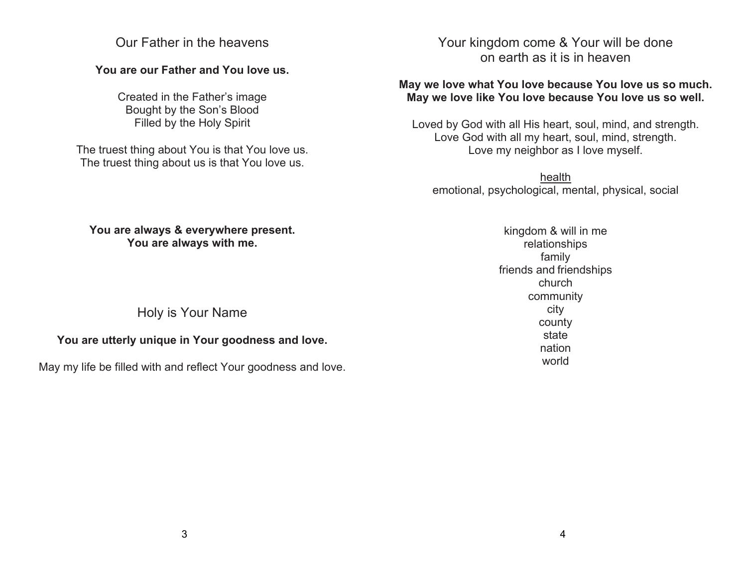## Our Father in the heavens

## **You are our Father and You love us.**

Created in the Father's image Bought by the Son's Blood Filled by the Holy Spirit

The truest thing about You is that You love us. The truest thing about us is that You love us.

# Your kingdom come & Your will be done on earth as it is in heaven

## **May we love what You love because You love us so much. May we love like You love because You love us so well.**

Loved by God with all His heart, soul, mind, and strength. Love God with all my heart, soul, mind, strength. Love my neighbor as I love myself.

health emotional, psychological, mental, physical, social

#### **You are always & everywhere present. You are always with me.**

Holy is Your Name

## **You are utterly unique in Your goodness and love.**

May my life be filled with and reflect Your goodness and love.

kingdom & will in me relationships family friends and friendships church community city county state nation world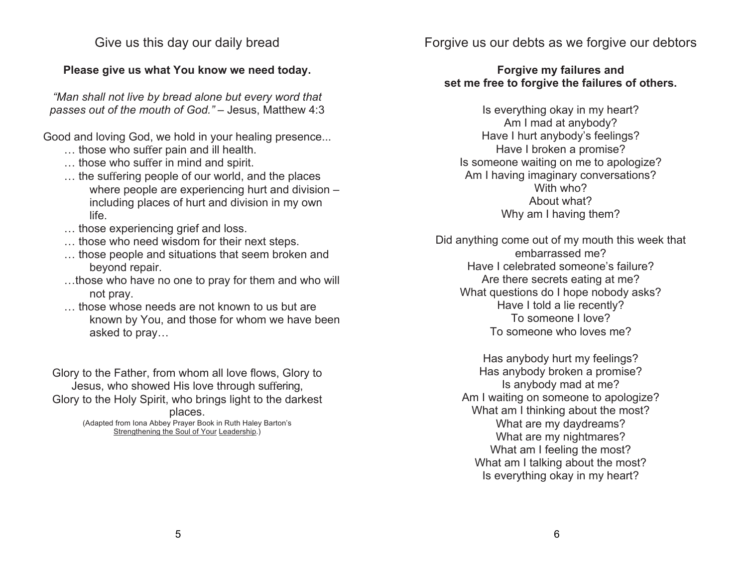Give us this day our daily bread

#### **Please give us what You know we need today.**

*"Man shall not live by bread alone but every word that passes out of the mouth of God."* – Jesus, Matthew 4:3

Good and loving God, we hold in your healing presence...

- … those who suffer pain and ill health.
- … those who suffer in mind and spirit.
- … the suffering people of our world, and the places where people are experiencing hurt and division – including places of hurt and division in my own life.
- … those experiencing grief and loss.
- … those who need wisdom for their next steps.
- … those people and situations that seem broken and beyond repair.
- …those who have no one to pray for them and who will not pray.
- … those whose needs are not known to us but are known by You, and those for whom we have been asked to pray…

Glory to the Father, from whom all love flows, Glory to Jesus, who showed His love through suffering, Glory to the Holy Spirit, who brings light to the darkest places. (Adapted from Iona Abbey Prayer Book in Ruth Haley Barton's

Strengthening the Soul of Your Leadership.)

Forgive us our debts as we forgive our debtors

### **Forgive my failures and set me free to forgive the failures of others.**

Is everything okay in my heart? Am I mad at anybody? Have I hurt anybody's feelings? Have I broken a promise? Is someone waiting on me to apologize? Am I having imaginary conversations? With who? About what? Why am I having them?

Did anything come out of my mouth this week that embarrassed me? Have I celebrated someone's failure? Are there secrets eating at me? What questions do I hope nobody asks? Have I told a lie recently? To someone I love? To someone who loves me?

> Has anybody hurt my feelings? Has anybody broken a promise? Is anybody mad at me? Am I waiting on someone to apologize? What am I thinking about the most? What are my daydreams? What are my nightmares? What am I feeling the most? What am I talking about the most? Is everything okay in my heart?